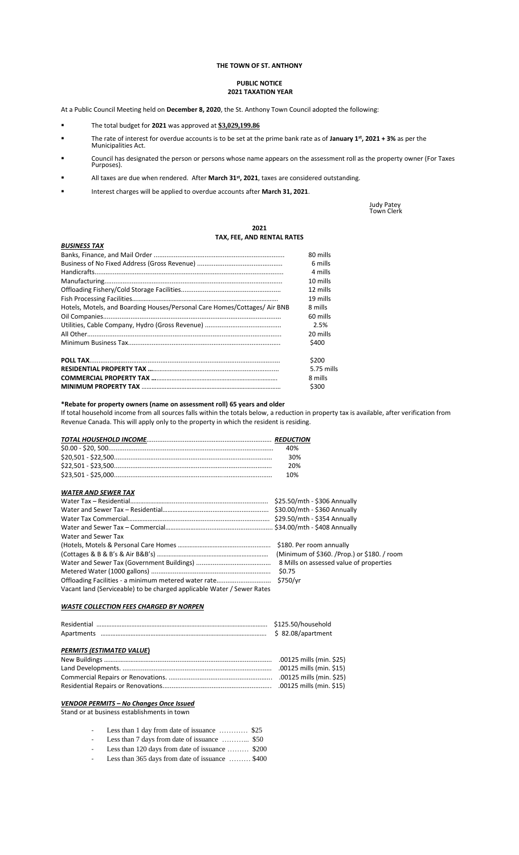## **THE TOWN OF ST. ANTHONY**

#### **PUBLIC NOTICE 2021 TAXATION YEAR**

At a Public Council Meeting held on **December 8, 2020**, the St. Anthony Town Council adopted the following:

- The total budget for **2021** was approved at **\$3,029,199.86**
- The rate of interest for overdue accounts is to be set at the prime bank rate as of **January 1st, 2021 + 3%** as per the Municipalities Act.
- Council has designated the person or persons whose name appears on the assessment roll as the property owner (For Taxes Purposes).
- All taxes are due when rendered. After March 31<sup>st</sup>, 2021, taxes are considered outstanding.
- Interest charges will be applied to overdue accounts after **March 31, 2021**.

Judy Patey Town Clerk

### **2021 TAX, FEE, AND RENTAL RATES**

|                                                                           | IAN, I LL, AND NLIVIAL INTILY |
|---------------------------------------------------------------------------|-------------------------------|
| <b>BUSINESS TAX</b>                                                       |                               |
|                                                                           | 80 mills                      |
|                                                                           | 6 mills                       |
|                                                                           | 4 mills                       |
|                                                                           | 10 mills                      |
|                                                                           | 12 mills                      |
|                                                                           | 19 mills                      |
| Hotels, Motels, and Boarding Houses/Personal Care Homes/Cottages/ Air BNB | 8 mills                       |
|                                                                           | 60 mills                      |
|                                                                           | 2.5%                          |
|                                                                           | 20 mills                      |
|                                                                           | \$400                         |
|                                                                           | \$200                         |
|                                                                           | $5.75$ mills                  |
|                                                                           | 8 mills                       |
|                                                                           | \$300                         |

# **\*Rebate for property owners (name on assessment roll) 65 years and older**

If total household income from all sources falls within the totals below, a reduction in property tax is available, after verification from Revenue Canada. This will apply only to the property in which the resident is residing.

| 40% |
|-----|
| 30% |
| 20% |
| 1በ% |

# *WATER AND SEWER TAX*

|                                                                        | \$25.50/mth - \$306 Annually                |
|------------------------------------------------------------------------|---------------------------------------------|
|                                                                        | \$30.00/mth - \$360 Annually                |
|                                                                        |                                             |
|                                                                        |                                             |
| Water and Sewer Tax                                                    |                                             |
|                                                                        |                                             |
|                                                                        | (Minimum of \$360. /Prop.) or \$180. / room |
|                                                                        | 8 Mills on assessed value of properties     |
|                                                                        |                                             |
|                                                                        |                                             |
| Vacant land (Serviceable) to be charged applicable Water / Sewer Rates |                                             |

## *WASTE COLLECTION FEES CHARGED BY NORPEN*

| PERMITS (ESTIMATED VALUE) |                          |
|---------------------------|--------------------------|
|                           | .00125 mills (min. \$25) |
|                           |                          |
|                           |                          |
|                           |                          |

# *VENDOR PERMITS – No Changes Once Issued*

Stand or at business establishments in town

- Less than 1 day from date of issuance ………… \$25
- Less than 7 days from date of issuance ………... \$50
	- Less than 120 days from date of issuance ……… \$200
- Less than 365 days from date of issuance ……… \$400